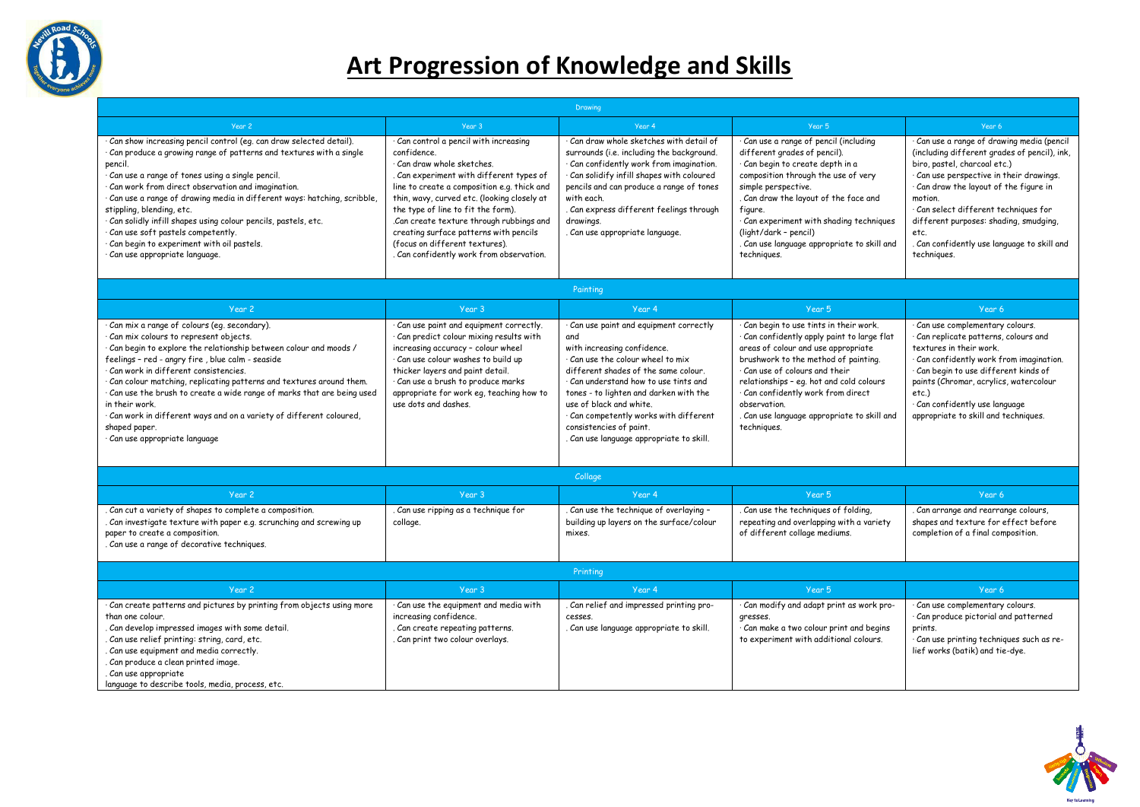

## **Art Progression of Knowledge and Skills**

| Drawing                                                                                                                                                                                                                                                                                                                                                                                                                                                                                                                                                  |                                                                                                                                                                                                                                                                                                                                                                                                                                                       |                                                                                                                                                                                                                                                                                                                                                                                           |                                                                                                                                                                                                                                                                                                                                                                     |                                                                                                                                                                                                                                                                                                                                                                            |  |  |  |
|----------------------------------------------------------------------------------------------------------------------------------------------------------------------------------------------------------------------------------------------------------------------------------------------------------------------------------------------------------------------------------------------------------------------------------------------------------------------------------------------------------------------------------------------------------|-------------------------------------------------------------------------------------------------------------------------------------------------------------------------------------------------------------------------------------------------------------------------------------------------------------------------------------------------------------------------------------------------------------------------------------------------------|-------------------------------------------------------------------------------------------------------------------------------------------------------------------------------------------------------------------------------------------------------------------------------------------------------------------------------------------------------------------------------------------|---------------------------------------------------------------------------------------------------------------------------------------------------------------------------------------------------------------------------------------------------------------------------------------------------------------------------------------------------------------------|----------------------------------------------------------------------------------------------------------------------------------------------------------------------------------------------------------------------------------------------------------------------------------------------------------------------------------------------------------------------------|--|--|--|
| Year 2                                                                                                                                                                                                                                                                                                                                                                                                                                                                                                                                                   | Year 3                                                                                                                                                                                                                                                                                                                                                                                                                                                | Year 4                                                                                                                                                                                                                                                                                                                                                                                    | Year 5                                                                                                                                                                                                                                                                                                                                                              | Year 6                                                                                                                                                                                                                                                                                                                                                                     |  |  |  |
| Can show increasing pencil control (eg. can draw selected detail).<br>Can produce a growing range of patterns and textures with a single<br>pencil.<br>Can use a range of tones using a single pencil.<br>Can work from direct observation and imagination.<br>Can use a range of drawing media in different ways: hatching, scribble,<br>stippling, blending, etc.<br>Can solidly infill shapes using colour pencils, pastels, etc.<br>Can use soft pastels competently.<br>Can begin to experiment with oil pastels.<br>Can use appropriate language.  | $\overline{\cdot}$ Can control a pencil with increasing<br>confidence.<br>· Can draw whole sketches.<br>Can experiment with different types of<br>line to create a composition e.g. thick and<br>thin, wavy, curved etc. (looking closely at<br>the type of line to fit the form).<br>Can create texture through rubbings and<br>creating surface patterns with pencils<br>(focus on different textures).<br>. Can confidently work from observation. | $\cdot$ Can draw whole sketches with detail of<br>surrounds (i.e. including the background.<br>Can confidently work from imagination.<br>Can solidify infill shapes with coloured<br>pencils and can produce a range of tones<br>with each.<br>. Can express different feelings through<br>drawings.<br>Can use appropriate language.                                                     | Can use a range of pencil (including<br>different grades of pencil).<br>· Can begin to create depth in a<br>composition through the use of very<br>simple perspective.<br>. Can draw the layout of the face and<br>figure.<br>Can experiment with shading techniques<br>(light/dark - pencil)<br>. Can use language appropriate to skill and<br>techniques.         | Can use a range of drawing media (pencil<br>(including different grades of pencil), ink,<br>biro, pastel, charcoal etc.)<br>Can use perspective in their drawings.<br>Can draw the layout of the figure in<br>motion.<br>Can select different techniques for<br>different purposes: shading, smudging,<br>etc.<br>Can confidently use language to skill and<br>techniques. |  |  |  |
| Painting                                                                                                                                                                                                                                                                                                                                                                                                                                                                                                                                                 |                                                                                                                                                                                                                                                                                                                                                                                                                                                       |                                                                                                                                                                                                                                                                                                                                                                                           |                                                                                                                                                                                                                                                                                                                                                                     |                                                                                                                                                                                                                                                                                                                                                                            |  |  |  |
| Year 2                                                                                                                                                                                                                                                                                                                                                                                                                                                                                                                                                   | Year 3                                                                                                                                                                                                                                                                                                                                                                                                                                                | Year 4                                                                                                                                                                                                                                                                                                                                                                                    | Year 5                                                                                                                                                                                                                                                                                                                                                              | Year 6                                                                                                                                                                                                                                                                                                                                                                     |  |  |  |
| Can mix a range of colours (eg. secondary).<br>Can mix colours to represent objects.<br>$\cdot$ Can begin to explore the relationship between colour and moods /<br>feelings - red - angry fire , blue calm - seaside<br>Can work in different consistencies.<br>Can colour matching, replicating patterns and textures around them.<br>· Can use the brush to create a wide range of marks that are being used<br>in their work.<br>Can work in different ways and on a variety of different coloured,<br>shaped paper.<br>Can use appropriate language | Can use paint and equipment correctly.<br>Can predict colour mixing results with<br>increasing accuracy - colour wheel<br>Can use colour washes to build up<br>thicker layers and paint detail.<br>· Can use a brush to produce marks<br>appropriate for work eq, teaching how to<br>use dots and dashes.                                                                                                                                             | Can use paint and equipment correctly<br>and<br>with increasing confidence.<br>$\cdot$ Can use the colour wheel to mix<br>different shades of the same colour.<br>Can understand how to use tints and<br>tones - to lighten and darken with the<br>use of black and white.<br>· Can competently works with different<br>consistencies of paint.<br>Can use language appropriate to skill. | Can begin to use tints in their work.<br>Can confidently apply paint to large flat<br>areas of colour and use appropriate<br>brushwork to the method of painting.<br>· Can use of colours and their<br>relationships - eg. hot and cold colours<br>· Can confidently work from direct<br>observation.<br>. Can use language appropriate to skill and<br>techniques. | Can use complementary colours.<br>Can replicate patterns, colours and<br>textures in their work.<br>Can confidently work from imagination.<br>Can begin to use different kinds of<br>paints (Chromar, acrylics, watercolour<br>$etc.$ )<br>Can confidently use language<br>appropriate to skill and techniques.                                                            |  |  |  |
| Collage                                                                                                                                                                                                                                                                                                                                                                                                                                                                                                                                                  |                                                                                                                                                                                                                                                                                                                                                                                                                                                       |                                                                                                                                                                                                                                                                                                                                                                                           |                                                                                                                                                                                                                                                                                                                                                                     |                                                                                                                                                                                                                                                                                                                                                                            |  |  |  |
| Year 2                                                                                                                                                                                                                                                                                                                                                                                                                                                                                                                                                   | Year 3                                                                                                                                                                                                                                                                                                                                                                                                                                                | Year 4                                                                                                                                                                                                                                                                                                                                                                                    | Year 5                                                                                                                                                                                                                                                                                                                                                              | Year 6                                                                                                                                                                                                                                                                                                                                                                     |  |  |  |
| . Can cut a variety of shapes to complete a composition.<br>. Can investigate texture with paper e.g. scrunching and screwing up<br>paper to create a composition.<br>. Can use a range of decorative techniques.                                                                                                                                                                                                                                                                                                                                        | . Can use ripping as a technique for<br>collage.                                                                                                                                                                                                                                                                                                                                                                                                      | . Can use the technique of overlaying -<br>building up layers on the surface/colour<br>mixes.                                                                                                                                                                                                                                                                                             | . Can use the techniques of folding,<br>repeating and overlapping with a variety<br>of different collage mediums.                                                                                                                                                                                                                                                   | Can arrange and rearrange colours.<br>shapes and texture for effect before<br>completion of a final composition.                                                                                                                                                                                                                                                           |  |  |  |
| Printing                                                                                                                                                                                                                                                                                                                                                                                                                                                                                                                                                 |                                                                                                                                                                                                                                                                                                                                                                                                                                                       |                                                                                                                                                                                                                                                                                                                                                                                           |                                                                                                                                                                                                                                                                                                                                                                     |                                                                                                                                                                                                                                                                                                                                                                            |  |  |  |
| Year <sub>2</sub>                                                                                                                                                                                                                                                                                                                                                                                                                                                                                                                                        | Year 3                                                                                                                                                                                                                                                                                                                                                                                                                                                | Year 4                                                                                                                                                                                                                                                                                                                                                                                    | Year 5                                                                                                                                                                                                                                                                                                                                                              | Year 6                                                                                                                                                                                                                                                                                                                                                                     |  |  |  |
| · Can create patterns and pictures by printing from objects using more<br>than one colour.<br>. Can develop impressed images with some detail.<br>. Can use relief printing: string, card, etc.<br>Can use equipment and media correctly.<br>Can produce a clean printed image.<br>Can use appropriate<br>language to describe tools, media, process, etc.                                                                                                                                                                                               | Can use the equipment and media with<br>increasing confidence.<br>Can create repeating patterns.<br>Can print two colour overlays.                                                                                                                                                                                                                                                                                                                    | . Can relief and impressed printing pro-<br>cesses.<br>. Can use language appropriate to skill.                                                                                                                                                                                                                                                                                           | · Can modify and adapt print as work pro-<br>gresses.<br>Can make a two colour print and begins<br>to experiment with additional colours.                                                                                                                                                                                                                           | Can use complementary colours.<br>Can produce pictorial and patterned<br>prints.<br>Can use printing techniques such as re-<br>lief works (batik) and tie-dye.                                                                                                                                                                                                             |  |  |  |